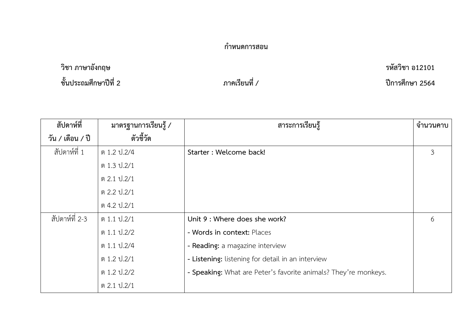## **กำหนดการสอน**

**วิชา ภาษาอังกฤษ รหัสวิชา อ12101 ชั้นประถมศึกษาปีที่ 2 ภาคเรียนที่ / ปีการศึกษา 2564**

| สัปดาห์ที่       | มาตรฐานการเรียนรู้ / | สาระการเรียนรู้                                                 | จำนวนคาบ |
|------------------|----------------------|-----------------------------------------------------------------|----------|
| วัน / เดือน / ปี | ตัวชี้วัด            |                                                                 |          |
| สัปดาห์ที่ 1     | ต 1.2 ป. 2/4         | Starter: Welcome back!                                          | 3        |
|                  | ต 1.3 ป.2/1          |                                                                 |          |
|                  | ต 2.1 ป.2/1          |                                                                 |          |
|                  | ต 2.2 ป.2/1          |                                                                 |          |
|                  | ต 4.2 ป.2/1          |                                                                 |          |
| สัปดาห์ที่ 2-3   | ต 1.1 ป.2/1          | Unit 9 : Where does she work?                                   | 6        |
|                  | ต 1.1 ป.2/2          | - Words in context: Places                                      |          |
|                  | ต 1.1 ป.2/4          | - Reading: a magazine interview                                 |          |
|                  | ต 1.2 ป.2/1          | - Listening: listening for detail in an interview               |          |
|                  | ต 1.2 ป. 2/2         | - Speaking: What are Peter's favorite animals? They're monkeys. |          |
|                  | ต 2.1 ป.2/1          |                                                                 |          |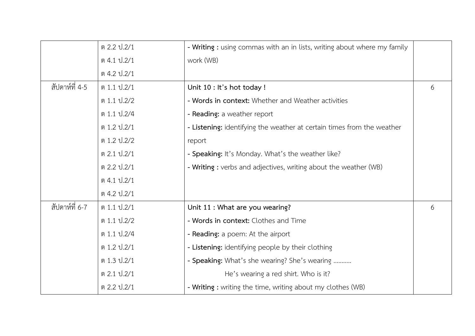|                | ต 2.2 ป.2/1    | - Writing : using commas with an in lists, writing about where my family |   |
|----------------|----------------|--------------------------------------------------------------------------|---|
|                | ต 4.1 ป. $2/1$ | work (WB)                                                                |   |
|                | ต 4.2 ป.2/1    |                                                                          |   |
| สัปดาห์ที่ 4-5 | ต 1.1 ป.2/1    | Unit 10 : It's hot today !                                               | 6 |
|                | ต 1.1 ป. 2/2   | - Words in context: Whether and Weather activities                       |   |
|                | ต 1.1 ป.2/4    | - Reading: a weather report                                              |   |
|                | ต 1.2 ป.2/1    | - Listening: identifying the weather at certain times from the weather   |   |
|                | ต 1.2 ป.2/2    | report                                                                   |   |
|                | ต 2.1 ป.2/1    | - Speaking: It's Monday. What's the weather like?                        |   |
|                | ต 2.2 ป.2/1    | - Writing : verbs and adjectives, writing about the weather (WB)         |   |
|                | ต 4.1 ป. $2/1$ |                                                                          |   |
|                | ต 4.2 ป. $2/1$ |                                                                          |   |
| สัปดาห์ที่ 6-7 | ต 1.1 ป.2/1    | Unit 11 : What are you wearing?                                          | 6 |
|                | ต 1.1 ป.2/2    | - Words in context: Clothes and Time                                     |   |
|                | ต 1.1 ป. 2/4   | - Reading: a poem: At the airport                                        |   |
|                | ต 1.2 ป.2/1    | - Listening: identifying people by their clothing                        |   |
|                | ต 1.3 ป.2/1    | - Speaking: What's she wearing? She's wearing                            |   |
|                | ต 2.1 ป.2/1    | He's wearing a red shirt. Who is it?                                     |   |
|                | ต 2.2 ป.2/1    | - Writing : writing the time, writing about my clothes (WB)              |   |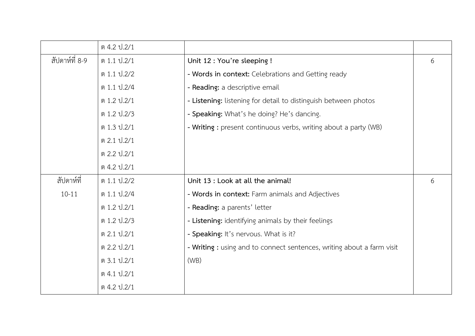|                | ต 4.2 ป.2/1 |                                                                        |   |
|----------------|-------------|------------------------------------------------------------------------|---|
| สัปดาห์ที่ 8-9 | ต 1.1 ป.2/1 | Unit 12 : You're sleeping !                                            | 6 |
|                | ต 1.1 ป.2/2 | - Words in context: Celebrations and Getting ready                     |   |
|                | ต 1.1 ป.2/4 | - Reading: a descriptive email                                         |   |
|                | ต 1.2 ป.2/1 | - Listening: listening for detail to distinguish between photos        |   |
|                | ต 1.2 ป.2/3 | - Speaking: What's he doing? He's dancing.                             |   |
|                | ต 1.3 ป.2/1 | - Writing : present continuous verbs, writing about a party (WB)       |   |
|                | ต 2.1 ป.2/1 |                                                                        |   |
|                | ต 2.2 ป.2/1 |                                                                        |   |
|                | ต 4.2 ป.2/1 |                                                                        |   |
| สัปดาห์ที่     | ต 1.1 ป.2/2 | Unit 13 : Look at all the animal!                                      | 6 |
| $10 - 11$      | ต 1.1 ป.2/4 | - Words in context: Farm animals and Adjectives                        |   |
|                | ต 1.2 ป.2/1 | - Reading: a parents' letter                                           |   |
|                | ต 1.2 ป.2/3 | - Listening: identifying animals by their feelings                     |   |
|                | ต 2.1 ป.2/1 | - Speaking: It's nervous. What is it?                                  |   |
|                | ต 2.2 ป.2/1 | - Writing : using and to connect sentences, writing about a farm visit |   |
|                | ต 3.1 ป.2/1 | (WB)                                                                   |   |
|                | ต 4.1 ป.2/1 |                                                                        |   |
|                | ต 4.2 ป.2/1 |                                                                        |   |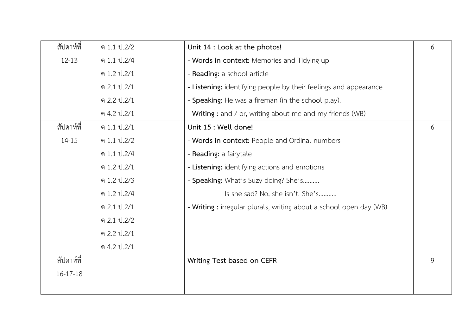| ต 1.1 ป. 2/2 | Unit 14 : Look at the photos!                                       | 6 |
|--------------|---------------------------------------------------------------------|---|
| ต 1.1 ป.2/4  | - Words in context: Memories and Tidying up                         |   |
| ต 1.2 ป.2/1  | - Reading: a school article                                         |   |
| ต 2.1 ป.2/1  | - Listening: identifying people by their feelings and appearance    |   |
| ต 2.2 ป.2/1  | - Speaking: He was a fireman (in the school play).                  |   |
| ต 4.2 ป.2/1  | - Writing : and / or, writing about me and my friends (WB)          |   |
| ต 1.1 ป.2/1  | Unit 15 : Well done!                                                | 6 |
| ต 1.1 ป.2/2  | - Words in context: People and Ordinal numbers                      |   |
| ต 1.1 ป. 2/4 | - Reading: a fairytale                                              |   |
| ต 1.2 ป.2/1  | - Listening: identifying actions and emotions                       |   |
| ต 1.2 ป.2/3  | - Speaking: What's Suzy doing? She's                                |   |
| ต 1.2 ป.2/4  | Is she sad? No, she isn't. She's                                    |   |
| ต 2.1 ป.2/1  | - Writing : irregular plurals, writing about a school open day (WB) |   |
| ต 2.1 ป.2/2  |                                                                     |   |
| ต 2.2 ป.2/1  |                                                                     |   |
| ต 4.2 ป.2/1  |                                                                     |   |
|              | Writing Test based on CEFR                                          | 9 |
|              |                                                                     |   |
|              |                                                                     |   |
|              |                                                                     |   |